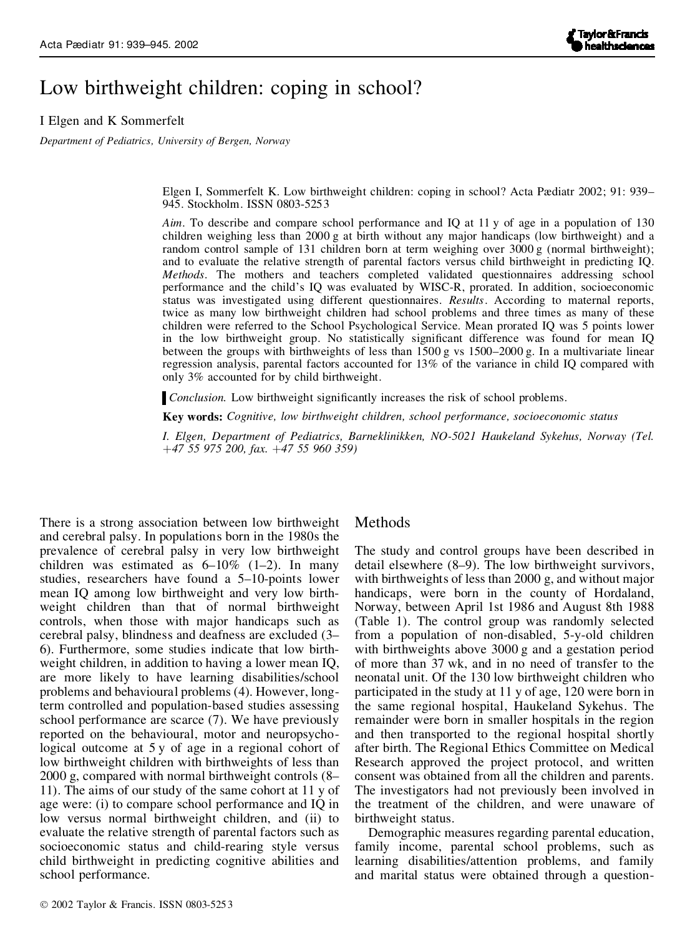# Low birthweight children: coping in school?

I Elgen and K Sommerfelt

*Department of Pediatrics, University of Bergen, Norway*

Elgen I, Sommerfelt K. Low birthweight children: coping in school? Acta Pædiatr 2002; 91: 939– 945. Stockholm. ISSN 0803-5253

*Aim*. To describe and compare school performance and IQ at 11 y of age in a population of 130 children weighing less than 2000 g at birth without any major handicaps (low birthweight) and a random control sample of 131 children born at term weighing over 3000 g (normal birthweight); and to evaluate the relative strength of parental factors versus child birthweight in predicting IQ. *Methods*. The mothers and teachers completed validated questionnaires addressing school performance and the child's IQ was evaluated by WISC-R, prorated. In addition, socioeconomic status was investigated using different questionnaires. *Results*. According to maternal reports, twice as many low birthweight children had school problems and three times as many of these children were referred to the School Psychological Service. Mean prorated IQ was 5 points lower in the low birthweight group. No statistically significant difference was found for mean IQ between the groups with birthweights of less than  $1500 g$  vs  $1500-2000 g$ . In a multivariate linear regression analysis, parental factors accounted for 13% of the variance in child IQ compared with only 3% accounted for by child birthweight.

*Conclusion.* Low birthweight significantly increases the risk of school problems.

**Key words:** *Cognitive, low birthweight children, school performance, socioeconomic status*

*I. Elgen, Department of Pediatrics, Barneklinikken, NO-5021 Haukeland Sykehus, Norway (Tel.* ‡*47 55 975 200, fax.* ‡*47 55 960 359)*

There is a strong association between low birthweight and cerebral palsy. In populations born in the 1980s the prevalence of cerebral palsy in very low birthweight children was estimated as  $6-10\%$  (1-2). In many studies, researchers have found a 5–10-points lower mean IQ among low birthweight and very low birth weight children than that of normal birthweight controls, when those with major handicaps such as cerebral palsy, blindness and deafness are excluded (3– 6). Furthermore, some studies indicate that low birth weight children, in addition to having a lower mean IQ, are more likely to have learning disabilities/school problems and behavioural problems (4). However, longterm controlled and population-based studies assessing school performance are scarce (7). We have previously reported on the behavioural, motor and neuropsychological outcome at 5 y of age in a regional cohort of low birthweight children with birthweights of less than 2000 g, compared with normal birthweight controls (8– 11). The aims of our study of the same cohort at 11 y of age were: (i) to compare school performance and IQ in low versus normal birthweight children, and (ii) to evaluate the relative strength of parental factors such as socioeconomic status and child-rearing style versus child birthweight in predicting cognitive abilities and school performance.

#### Methods

The study and control groups have been described in detail elsewhere (8–9). The low birthweight survivors, with birthweights of less than 2000 g, and without major handicaps, were born in the county of Hordaland, Norway, between April 1st 1986 and August 8th 1988 (Table 1). The control group was randomly selected from a population of non-disabled, 5-y-old children with birthweights above 3000 g and a gestation period of more than 37 wk, and in no need of transfer to the neonatal unit. Of the 130 low birthweight children who participated in the study at 11 y of age, 120 were born in the same regional hospital, Haukeland Sykehus. The remainder were born in smaller hospitals in the region and then transported to the regional hospital shortly after birth. The Regional Ethics Committee on Medical Research approved the project protocol, and written consent was obtained from all the children and parents. The investigators had not previously been involved in the treatment of the children, and were unaware of birthweight status.

Demographic measures regarding parental education, family income, parental school problems, such as learning disabilities/attention problems, and family and marital status were obtained through a question-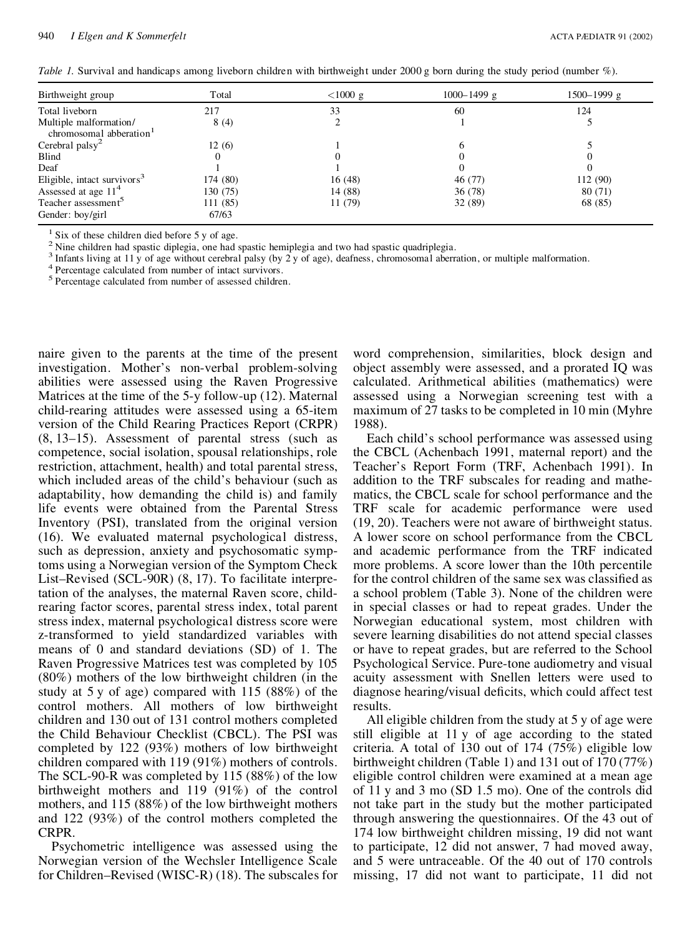*Table 1.* Survival and handicaps among liveborn children with birthweight under 2000 g born during the study period (number %).

| Birthweight group                                             | Total    | $<$ 1000 g | $1000 - 1499$ g | 1500-1999 g |
|---------------------------------------------------------------|----------|------------|-----------------|-------------|
| Total liveborn                                                | 217      | 33         | 60              | 124         |
| Multiple malformation/<br>chromosomal abberation <sup>1</sup> | 8(4)     |            |                 |             |
| Cerebral palsy <sup>2</sup>                                   | 12(6)    |            |                 |             |
| Blind                                                         |          |            |                 |             |
| Deaf                                                          |          |            |                 |             |
| Eligible, intact survivors <sup>3</sup>                       | 174 (80) | 16(48)     | 46 (77)         | 112 (90)    |
| Assessed at age $114$                                         | 130 (75) | 14 (88)    | 36(78)          | 80(71)      |
| Teacher assessment <sup>5</sup>                               | 111 (85) | 11 (79)    | 32(89)          | 68 (85)     |
| Gender: boy/girl                                              | 67/63    |            |                 |             |

<sup>1</sup> Six of these children died before 5 y of age. <sup>2</sup> Nine children had spastic diplegia, one had spastic hemiplegia and two had spastic quadriplegia.

<sup>3</sup> Infants living at 11 y of age without cerebral palsy (by 2 y of age), deafness, chromosomal aberration, or multiple malformation.<br><sup>4</sup> Percentage calculated from number of intact survivors.<br><sup>5</sup> Percentage calculated fr

naire given to the parents at the time of the present investigation. Mother's non-verbal problem-solving abilities were assessed using the Raven Progressive Matrices at the time of the 5-y follow-up (12). Maternal child-rearing attitudes were assessed using a 65-item version of the Child Rearing Practices Report (CRPR) (8, 13–15). Assessment of parental stress (such as competence, social isolation, spousal relationships, role restriction, attachment, health) and total parental stress, which included areas of the child's behaviour (such as adaptability, how demanding the child is) and family life events were obtained from the Parental Stress Inventory (PSI), translated from the original version (16). We evaluated maternal psychological distress, such as depression, anxiety and psychosomatic symptoms using a Norwegian version of the Symptom Check List–Revised (SCL-90R) (8, 17). To facilitate interpretation of the analyses, the maternal Raven score, childrearing factor scores, parental stress index, total parent stress index, maternal psychological distress score were z-transformed to yield standardized variables with means of 0 and standard deviations (SD) of 1. The Raven Progressive Matrices test was completed by 105 (80%) mothers of the low birthweight children (in the study at 5 y of age) compared with 115 (88%) of the control mothers. All mothers of low birthweight children and 130 out of 131 control mothers completed the Child Behaviour Checklist (CBCL). The PSI was completed by 122 (93%) mothers of low birthweight children compared with 119 (91%) mothers of controls. The SCL-90-R was completed by 115 (88%) of the low birthweight mothers and 119 (91%) of the control mothers, and 115 (88%) of the low birthweight mothers and 122 (93%) of the control mothers completed the CRPR.

Psychometric intelligence was assessed using the Norwegian version of the Wechsler Intelligence Scale for Children–Revised (WISC-R) (18). The subscales for word comprehension, similarities, block design and object assembly were assessed, and a prorated IQ was calculated. Arithmetical abilities (mathematics) were assessed using a Norwegian screening test with a maximum of 27 tasks to be completed in 10 min (Myhre 1988).

Each child's school performance was assessed using the CBCL (Achenbach 1991, maternal report) and the Teacher's Report Form (TRF, Achenbach 1991). In addition to the TRF subscales for reading and mathe matics, the CBCL scale for school performance and the TRF scale for academic performance were used (19, 20). Teachers were not aware of birthweight status. A lower score on school performance from the CBCL and academic performance from the TRF indicated more problems. A score lower than the 10th percentile for the control children of the same sex was classified as a school problem (Table 3). None of the children were in special classes or had to repeat grades. Under the Norwegian educational system, most children with severe learning disabilities do not attend special classes or have to repeat grades, but are referred to the School Psychological Service. Pure-tone audiometry and visual acuity assessment with Snellen letters were used to diagnose hearing/visual deficits, which could affect test results.

All eligible children from the study at 5 y of age were still eligible at 11 y of age according to the stated criteria. A total of 130 out of 174 (75%) eligible low birthweight children (Table 1) and 131 out of 170 (77%) eligible control children were examined at a mean age of 11 y and 3 mo (SD 1.5 mo). One of the controls did not take part in the study but the mother participated through answering the questionnaires. Of the 43 out of 174 low birthweight children missing, 19 did not want to participate, 12 did not answer, 7 had moved away, and 5 were untraceable. Of the 40 out of 170 controls missing, 17 did not want to participate, 11 did not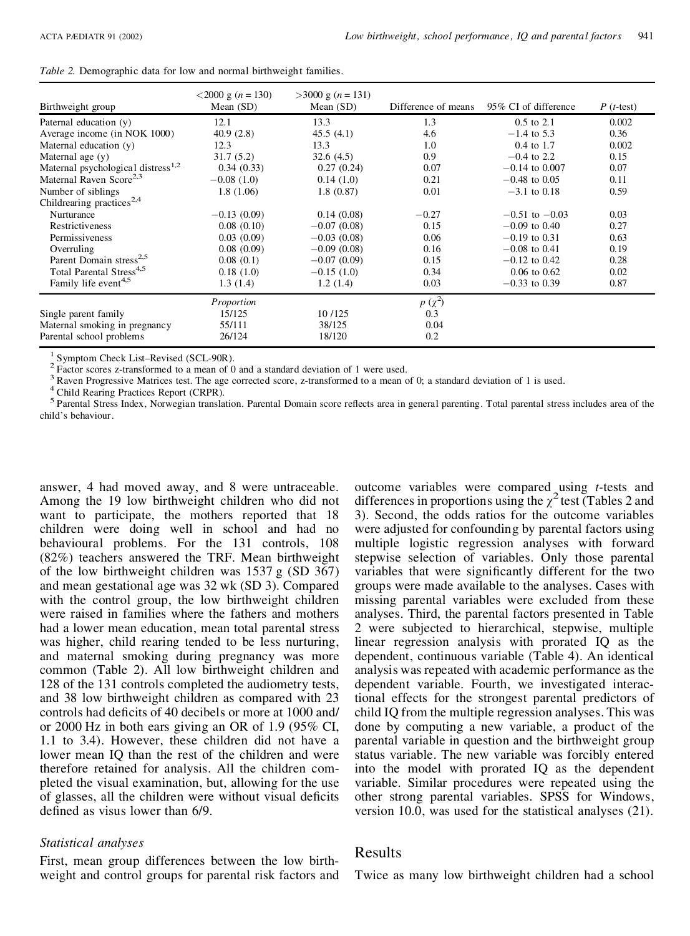| <i>Table 2.</i> Demographic data for low and normal birthweight families. |  |  |
|---------------------------------------------------------------------------|--|--|
|---------------------------------------------------------------------------|--|--|

| Birthweight group                              | $<$ 2000 g (n = 130)<br>Mean $(SD)$ | $>3000 \text{ g}$ ( <i>n</i> = 131)<br>Mean $(SD)$ | Difference of means | 95% CI of difference | $P(t-test)$ |
|------------------------------------------------|-------------------------------------|----------------------------------------------------|---------------------|----------------------|-------------|
| Paternal education (y)                         | 12.1                                | 13.3                                               | 1.3                 | $0.5$ to $2.1$       | 0.002       |
| Average income (in NOK 1000)                   | 40.9(2.8)                           | 45.5(4.1)                                          | 4.6                 | $-1.4$ to 5.3        | 0.36        |
| Maternal education (y)                         | 12.3                                | 13.3                                               | 1.0                 | $0.4$ to 1.7         | 0.002       |
| Maternal age $(y)$                             | 31.7(5.2)                           | 32.6(4.5)                                          | 0.9                 | $-0.4$ to 2.2        | 0.15        |
| Maternal psychological distress <sup>1,2</sup> | 0.34(0.33)                          | 0.27(0.24)                                         | 0.07                | $-0.14$ to 0.007     | 0.07        |
| Maternal Raven Score <sup>2,3</sup>            | $-0.08(1.0)$                        | 0.14(1.0)                                          | 0.21                | $-0.48$ to 0.05      | 0.11        |
| Number of siblings                             | 1.8(1.06)                           | 1.8(0.87)                                          | 0.01                | $-3.1$ to 0.18       | 0.59        |
| Childrearing practices <sup>2,4</sup>          |                                     |                                                    |                     |                      |             |
| Nurturance                                     | $-0.13(0.09)$                       | 0.14(0.08)                                         | $-0.27$             | $-0.51$ to $-0.03$   | 0.03        |
| Restrictiveness                                | 0.08(0.10)                          | $-0.07(0.08)$                                      | 0.15                | $-0.09$ to 0.40      | 0.27        |
| Permissiveness                                 | 0.03(0.09)                          | $-0.03(0.08)$                                      | 0.06                | $-0.19$ to 0.31      | 0.63        |
| Overruling                                     | 0.08(0.09)                          | $-0.09(0.08)$                                      | 0.16                | $-0.08$ to 0.41      | 0.19        |
| Parent Domain stress <sup>2,5</sup>            | 0.08(0.1)                           | $-0.07(0.09)$                                      | 0.15                | $-0.12$ to 0.42      | 0.28        |
| Total Parental Stress <sup>4,5</sup>           | 0.18(1.0)                           | $-0.15(1.0)$                                       | 0.34                | $0.06$ to $0.62$     | 0.02        |
| Family life event <sup>4,5</sup>               | 1.3(1.4)                            | 1.2(1.4)                                           | 0.03                | $-0.33$ to 0.39      | 0.87        |
|                                                | Proportion                          |                                                    | $p(\chi^2)$         |                      |             |
| Single parent family                           | 15/125                              | 10/125                                             | 0.3                 |                      |             |
| Maternal smoking in pregnancy                  | 55/111                              | 38/125                                             | 0.04                |                      |             |
| Parental school problems                       | 26/124                              | 18/120                                             | 0.2                 |                      |             |

<sup>1</sup> Symptom Check List-Revised (SCL-90R).<br>
<sup>2</sup> Factor scores z-transformed to a mean of 0 and a standard deviation of 1 were used.<br>
<sup>3</sup> Raven Progressive Matrices test. The age corrected score, z-transformed to a mean of child's behaviour.

answer, 4 had moved away, and 8 were untraceable. Among the 19 low birthweight children who did not want to participate, the mothers reported that 18 children were doing well in school and had no behavioural problems. For the 131 controls, 108 (82%) teachers answered the TRF. Mean birthweight of the low birthweight children was 1537 g (SD 367) and mean gestational age was 32 wk (SD 3). Compared with the control group, the low birthweight children were raised in families where the fathers and mothers had a lower mean education, mean total parental stress was higher, child rearing tended to be less nurturing, and maternal smoking during pregnancy was more common (Table 2). All low birthweight children and 128 of the 131 controls completed the audiometry tests, and 38 low birthweight children as compared with 23 controls had deficits of 40 decibels or more at 1000 and/ or 2000 Hz in both ears giving an OR of 1.9 (95% CI, 1.1 to 3.4). However, these children did not have a lower mean IQ than the rest of the children and were therefore retained for analysis. All the children com pleted the visual examination, but, allowing for the use of glasses, all the children were without visual deficits defined as visus lower than 6/9.

#### *Statistical analyses*

First, mean group differences between the low birth weight and control groups for parental risk factors and outcome variables were compared using *t-*tests and differences in proportions using the  $\chi^2$  test (Tables 2 and 3). Second, the odds ratios for the outcome variables were adjusted for confounding by parental factors using multiple logistic regression analyses with forward stepwise selection of variables. Only those parental variables that were significantly different for the two groups were made available to the analyses. Cases with missing parental variables were excluded from these analyses. Third, the parental factors presented in Table 2 were subjected to hierarchical, stepwise, multiple linear regression analysis with prorated IQ as the dependent, continuous variable (Table 4). An identical analysis was repeated with academic performance as the dependent variable. Fourth, we investigated interactional effects for the strongest parental predictors of child IQ from the multiple regression analyses. This was done by computing a new variable, a product of the parental variable in question and the birthweight group status variable. The new variable was forcibly entered into the model with prorated IQ as the dependent variable. Similar procedures were repeated using the other strong parental variables. SPSS for Windows, version 10.0, was used for the statistical analyses (21).

# Results

Twice as many low birthweight children had a school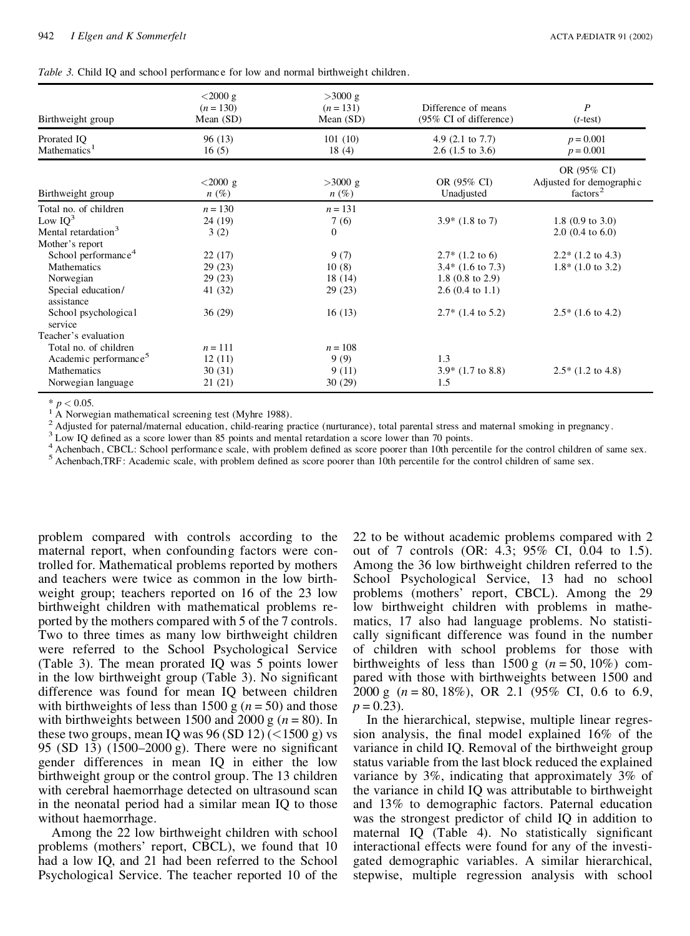|  |  |  |  |  |  | Table 3. Child IQ and school performance for low and normal birthweight children. |  |
|--|--|--|--|--|--|-----------------------------------------------------------------------------------|--|
|--|--|--|--|--|--|-----------------------------------------------------------------------------------|--|

| Birthweight group                       | $<$ 2000 g<br>$(n = 130)$<br>Mean $(SD)$ | >3000 g<br>$(n = 131)$<br>Mean $(SD)$ | Difference of means<br>(95% CI of difference)              | $\boldsymbol{P}$<br>$(t$ -test                                  |
|-----------------------------------------|------------------------------------------|---------------------------------------|------------------------------------------------------------|-----------------------------------------------------------------|
| Prorated IQ<br>Mathematics <sup>1</sup> | 96(13)<br>16(5)                          | 101(10)<br>18(4)                      | 4.9 $(2.1 \text{ to } 7.7)$<br>2.6 $(1.5 \text{ to } 3.6)$ | $p = 0.001$<br>$p = 0.001$                                      |
| Birthweight group                       | $< 2000 \text{ g}$<br>$n(\%)$            | $>3000$ g<br>$n(\%)$                  | OR (95% CI)<br>Unadjusted                                  | OR (95% CI)<br>Adjusted for demographic<br>factors <sup>2</sup> |
| Total no. of children                   | $n = 130$                                | $n = 131$                             |                                                            |                                                                 |
| Low $IO^3$                              | 24 (19)                                  | 7(6)                                  | $3.9*$ (1.8 to 7)                                          | 1.8 $(0.9 \text{ to } 3.0)$                                     |
| Mental retardation <sup>3</sup>         | 3(2)                                     | $\mathbf{0}$                          |                                                            | $2.0$ (0.4 to 6.0)                                              |
| Mother's report                         |                                          |                                       |                                                            |                                                                 |
| School performance <sup>4</sup>         | 22(17)                                   | 9(7)                                  | $2.7*$ (1.2 to 6)                                          | $2.2*$ (1.2 to 4.3)                                             |
| <b>Mathematics</b>                      | 29(23)                                   | 10(8)                                 | $3.4*$ (1.6 to 7.3)                                        | $1.8*$ (1.0 to 3.2)                                             |
| Norwegian                               | 29(23)                                   | 18 (14)                               | 1.8 $(0.8 \text{ to } 2.9)$                                |                                                                 |
| Special education/<br>assistance        | 41 (32)                                  | 29(23)                                | $2.6(0.4 \text{ to } 1.1)$                                 |                                                                 |
| School psychological<br>service         | 36(29)                                   | 16(13)                                | $2.7*$ (1.4 to 5.2)                                        | $2.5*$ (1.6 to 4.2)                                             |
| Teacher's evaluation                    |                                          |                                       |                                                            |                                                                 |
| Total no. of children                   | $n = 111$                                | $n = 108$                             |                                                            |                                                                 |
| Academic performance <sup>5</sup>       | 12(11)                                   | 9(9)                                  | 1.3                                                        |                                                                 |
| <b>Mathematics</b>                      | 30(31)                                   | 9(11)                                 | $3.9*$ (1.7 to 8.8)                                        | $2.5*(1.2 \text{ to } 4.8)$                                     |
| Norwegian language                      | 21(21)                                   | 30(29)                                | 1.5                                                        |                                                                 |

\*  $p < 0.05$ .<br>
<sup>1</sup> A Norwegian mathematical screening test (Myhre 1988).<br>
<sup>2</sup> Adjusted for paternal/maternal education, child-rearing practice (nurturance), total parental stress and maternal smoking in pregnancy.<br>
<sup>2</sup> Adj

problem compared with controls according to the maternal report, when confounding factors were controlled for. Mathematical problems reported by mothers and teachers were twice as common in the low birth weight group; teachers reported on 16 of the 23 low birthweight children with mathematical problems re ported by the mothers compared with 5 of the 7 controls. Two to three times as many low birthweight children were referred to the School Psychological Service (Table 3). The mean prorated IQ was 5 points lower in the low birthweight group  $(Table 3)$ . No significant difference was found for mean IQ between children with birthweights of less than 1500 g  $(n = 50)$  and those with birthweights between 1500 and 2000 g ( $n = 80$ ). In these two groups, mean IQ was  $96 (SD 12) (1500 g)$  vs 95 (SD 13) (1500–2000 g). There were no significant gender differences in mean IQ in either the low birthweight group or the control group. The 13 children with cerebral haemorrhage detected on ultrasound scan in the neonatal period had a similar mean IQ to those without haemorrhage.

Among the 22 low birthweight children with school problems (mothers' report, CBCL), we found that 10 had a low IQ, and 21 had been referred to the School Psychological Service. The teacher reported 10 of the 22 to be without academic problems compared with 2 out of 7 controls (OR: 4.3; 95% CI, 0.04 to 1.5). Among the 36 low birthweight children referred to the School Psychological Service, 13 had no school problems (mothers' report, CBCL). Among the 29 low birthweight children with problems in mathe matics, 17 also had language problems. No statisti cally significant difference was found in the number of children with school problems for those with birthweights of less than  $1500 \text{ g}$  ( $n = 50, 10\%$ ) compared with those with birthweights between 1500 and 2000 g (*n* = 80, 18%), OR 2.1 (95% CI, 0.6 to 6.9,  $p = 0.23$ .

In the hierarchical, stepwise, multiple linear regres sion analysis, the final model explained  $16\%$  of the variance in child IQ. Removal of the birthweight group status variable from the last block reduced the explained variance by 3%, indicating that approximately 3% of the variance in child IQ was attributable to birthweight and 13% to demographic factors. Paternal education was the strongest predictor of child IQ in addition to maternal IQ (Table 4). No statistically significant interactional effects were found for any of the investi gated demographic variables. A similar hierarchical, stepwise, multiple regression analysis with school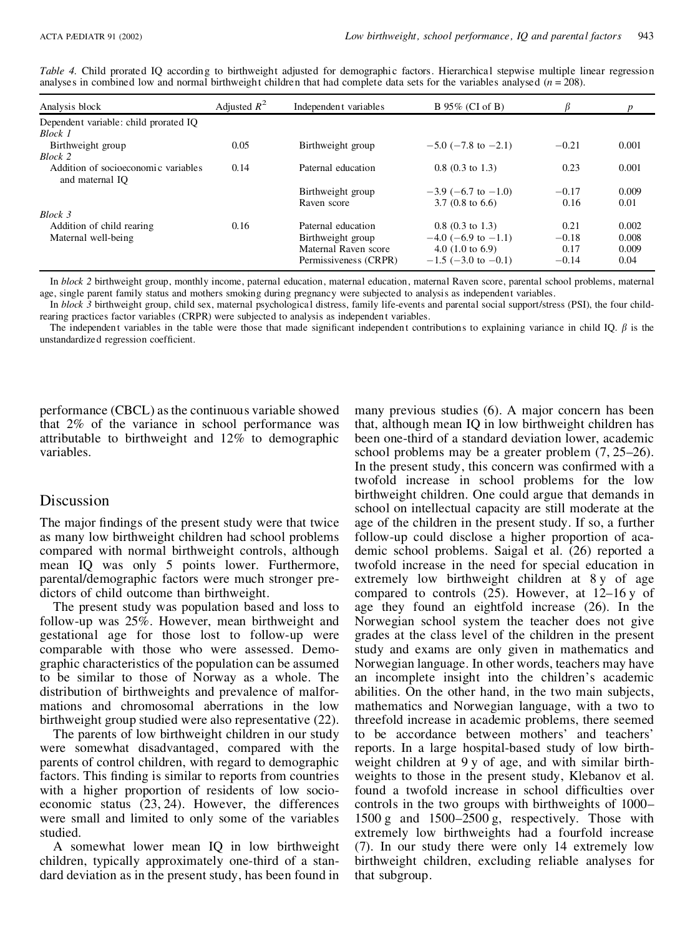|  |  |  | Table 4. Child prorated IQ according to birthweight adjusted for demographic factors. Hierarchical stepwise multiple linear regression |  |  |  |
|--|--|--|----------------------------------------------------------------------------------------------------------------------------------------|--|--|--|
|  |  |  | analyses in combined low and normal birthweight children that had complete data sets for the variables analysed $(n = 208)$ .          |  |  |  |

| Analysis block                                         | Adjusted $R^2$ | Independent variables | B 95% (CI of B)             |         |       |
|--------------------------------------------------------|----------------|-----------------------|-----------------------------|---------|-------|
| Dependent variable: child prorated IO                  |                |                       |                             |         |       |
| Block 1                                                |                |                       |                             |         |       |
| Birthweight group                                      | 0.05           | Birthweight group     | $-5.0$ ( $-7.8$ to $-2.1$ ) | $-0.21$ | 0.001 |
| Block 2                                                |                |                       |                             |         |       |
| Addition of socioeconomic variables<br>and maternal IO | 0.14           | Paternal education    | $0.8$ (0.3 to 1.3)          | 0.23    | 0.001 |
|                                                        |                | Birthweight group     | $-3.9$ (-6.7 to -1.0)       | $-0.17$ | 0.009 |
|                                                        |                | Raven score           | $3.7(0.8 \text{ to } 6.6)$  | 0.16    | 0.01  |
| Block 3                                                |                |                       |                             |         |       |
| Addition of child rearing                              | 0.16           | Paternal education    | $0.8$ (0.3 to 1.3)          | 0.21    | 0.002 |
| Maternal well-being                                    |                | Birthweight group     | $-4.0$ (-6.9 to -1.1)       | $-0.18$ | 0.008 |
|                                                        |                | Maternal Raven score  | 4.0 $(1.0 \text{ to } 6.9)$ | 0.17    | 0.009 |
|                                                        |                | Permissiveness (CRPR) | $-1.5$ (-3.0 to -0.1)       | $-0.14$ | 0.04  |

In *block 2* birthweight group, monthly income, paternal education, maternal education, maternal Raven score, parental school problems, maternal age, single parent family status and mothers smoking during pregnancy were subjected to analysis as independent variables.

In *block* 3 birthweight group, child sex, maternal psychological distress, family life-events and parental social support/stress (PSI), the four childrearing practices factor variables (CRPR) were subjected to analysis as independen t variables.

The independent variables in the table were those that made significant independent contributions to explaining variance in child IQ.  $\beta$  is the unstandardized regression coefficient.

performance (CBCL) asthe continuous variable showed that 2% of the variance in school performance was attributable to birthweight and 12% to demographic variables.

# Discussion

The major findings of the present study were that twice as many low birthweight children had school problems compared with normal birthweight controls, although mean IQ was only 5 points lower. Furthermore, parental/demographic factors were much stronger pre dictors of child outcome than birthweight.

The present study was population based and loss to follow-up was 25%. However, mean birthweight and gestational age for those lost to follow-up were comparable with those who were assessed. Demo graphic characteristics of the population can be assumed to be similar to those of Norway as a whole. The distribution of birthweights and prevalence of malfor mations and chromosomal aberrations in the low birthweight group studied were also representative (22).

The parents of low birthweight children in our study were somewhat disadvantaged, compared with the parents of control children, with regard to demographic factors. This finding is similar to reports from countries with a higher proportion of residents of low socio economic status (23, 24). However, the differences were small and limited to only some of the variables studied.

A somewhat lower mean IQ in low birthweight children, typically approximately one-third of a stan dard deviation as in the present study, has been found in many previous studies (6). A major concern has been that, although mean IQ in low birthweight children has been one-third of a standard deviation lower, academic school problems may be a greater problem (7, 25–26). In the present study, this concern was confirmed with a twofold increase in school problems for the low birthweight children. One could argue that demands in school on intellectual capacity are still moderate at the age of the children in the present study. If so, a further follow-up could disclose a higher proportion of aca demic school problems. Saigal et al. (26) reported a twofold increase in the need for special education in extremely low birthweight children at 8y of age compared to controls (25). However, at 12–16 y of age they found an eightfold increase (26). In the Norwegian school system the teacher does not give grades at the class level of the children in the present study and exams are only given in mathematics and Norwegian language. In other words, teachers may have an incomplete insight into the children's academic abilities. On the other hand, in the two main subjects, mathematics and Norwegian language, with a two to threefold increase in academic problems, there seemed to be accordance between mothers' and teachers' reports. In a large hospital-based study of low birth weight children at 9 y of age, and with similar birth weights to those in the present study, Klebanov et al. found a twofold increase in school difficulties over controls in the two groups with birthweights of 1000– 1500 g and  $1500-2500$  g, respectively. Those with extremely low birthweights had a fourfold increase (7). In our study there were only 14 extremely low birthweight children, excluding reliable analyses for that subgroup.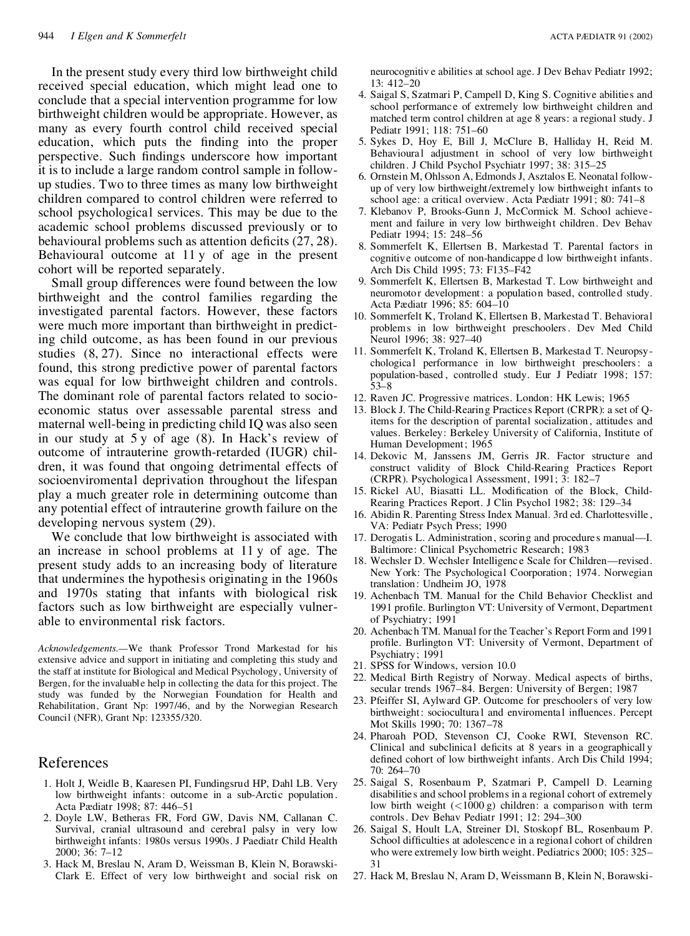In the present study every third low birthweight child received special education, which might lead one to conclude that a special intervention programme for low birthweight children would be appropriate. However, as many as every fourth control child received special education, which puts the finding into the proper perspective. Such findings underscore how important it is to include a large random control sample in follow up studies. Two to three times as many low birthweight children compared to control children were referred to school psychological services. This may be due to the academic school problems discussed previously or to behavioural problems such as attention deficits  $(27, 28)$ . Behavioural outcome at 11 y of age in the present cohort will be reported separately.

Small group differences were found between the low birthweight and the control families regarding the investigated parental factors. However, these factors were much more important than birthweight in predicting child outcome, as has been found in our previous studies (8, 27). Since no interactional effects were found, this strong predictive power of parental factors was equal for low birthweight children and controls. The dominant role of parental factors related to socio economic status over assessable parental stress and maternal well-being in predicting child IQ was also seen in our study at 5 y of age (8). In Hack's review of outcome of intrauterine growth-retarded (IUGR) chil dren, it was found that ongoing detrimental effects of socioenviromental deprivation throughout the lifespan play a much greater role in determining outcome than any potential effect of intrauterine growth failure on the developing nervous system (29).

We conclude that low birthweight is associated with an increase in school problems at 11 y of age. The present study adds to an increasing body of literature that undermines the hypothesis originating in the 1960s and 1970s stating that infants with biological risk factors such as low birthweight are especially vulner able to environmental risk factors.

*Acknowledgements.—*We thank Professor Trond Markestad for his extensive advice and support in initiating and completing this study and the staff at institute for Biological and Medical Psychology, University of Bergen, for the invaluable help in collecting the data for this project. The study was funded by the Norwegian Foundation for Health and Rehabilitation, Grant Np: 1997/46, and by the Norwegian Research Council (NFR), Grant Np: 123355/320.

### References

- 1. Holt J, Weidle B, Kaaresen PI, Fundingsrud HP, Dahl LB. Very low birthweight infants: outcome in a sub-Arctic population . Acta Pædiatr 1998; 87: 446–51
- 2. Doyle LW, Betheras FR, Ford GW, Davis NM, Callanan C. Survival, cranial ultrasound and cerebral palsy in very low birthweight infants: 1980s versus 1990s. J Paediatr Child Health 2000; 36: 7–12
- 3. Hack M, Breslau N, Aram D, Weissman B, Klein N, Borawski- Clark E. Effect of very low birthweight and social risk on

neurocognitiv e abilities at school age. J Dev Behav Pediatr 1992; 13: 412–20

- 4. Saigal S, Szatmari P, Campell D, King S. Cognitive abilities and school performance of extremely low birthweight children and matched term control children at age 8 years: a regional study. J Pediatr 1991; 118: 751–60
- 5. Sykes D, Hoy E, Bill J, McClure B, Halliday H, Reid M. Behavioural adjustment in school of very low birthweight children. J Child Psychol Psychiatr 1997; 38: 315–25
- 6. Ornstein M, Ohlsson A, Edmonds J, Asztalos E. Neonatal follow up of very low birthweight/extremely low birthweight infants to school age: a critical overview. Acta Pædiatr 1991; 80: 741–8
- 7. Klebanov P, Brooks-Gunn J, McCormick M. School achieve ment and failure in very low birthweight children. Dev Behav Pediatr 1994; 15: 248–56
- 8. Sommerfelt K, Ellertsen B, Markestad T. Parental factors in cognitive outcome of non-handicappe d low birthweight infants. Arch Dis Child 1995; 73: F135–F42
- 9. Sommerfelt K, Ellertsen B, Markestad T. Low birthweight and neuromotor development: a population based, controlled study. Acta Pædiatr 1996; 85: 604–10
- 10. Sommerfelt K, Troland K, Ellertsen B, Markestad T. Behavioral problems in low birthweight preschoolers. Dev Med Child Neurol 1996; 38: 927–40
- 11. Sommerfelt K, Troland K, Ellertsen B, Markestad T. Neuropsy chological performance in low birthweight preschoolers: a population-based , controlled study. Eur J Pediatr 1998; 157: 53–8
- 12. Raven JC. Progressive matrices. London: HK Lewis; 1965
- 13. Block J.The Child-Rearing Practices Report (CRPR): a set of Qitems for the description of parental socialization , attitudes and values. Berkeley: Berkeley University of California, Institute of Human Development; 1965
- 14. Dekovic M, Janssens JM, Gerris JR. Factor structure and construct validity of Block Child-Rearing Practices Report (CRPR). Psychologica l Assessment, 1991; 3: 182–7
- 15. Rickel AU, Biasatti LL. Modification of the Block, Child-Rearing Practices Report. J Clin Psychol 1982; 38: 129–34
- 16. Abidin R. Parenting Stress Index Manual. 3rd ed. Charlottesville , VA: Pediatr Psych Press; 1990
- 17. Derogatis L. Administration, scoring and procedure s manual—I. Baltimore: Clinical Psychometric Research; 1983
- 18. Wechsler D. Wechsler Intelligenc e Scale for Children—revised. New York: The Psychological Coorporation ; 1974. Norwegian translation : Undheim JO,1978
- 19. Achenbach TM. Manual for the Child Behavior Checklist and 1991 profile. Burlington VT: University of Vermont, Department of Psychiatry; 1991
- 20. Achenbach TM. Manual for the Teacher's Report Form and 1991 profile. Burlington VT: University of Vermont, Department of Psychiatry; 1991
- 21. SPSS for Windows, version 10.0
- 22. Medical Birth Registry of Norway. Medical aspects of births, secular trends 1967–84. Bergen: University of Bergen; 1987
- 23. Pfeiffer SI, Aylward GP. Outcome for preschoolers of very low birthweight: sociocultural and enviromental influences. Percept Mot Skills 1990; 70: 1367–78
- 24. Pharoah POD, Stevenson CJ, Cooke RWI, Stevenson RC. Clinical and subclinical deficits at 8 years in a geographically defined cohort of low birthweight infants. Arch Dis Child 1994; 70: 264–70
- 25. Saigal S, Rosenbaum P, Szatmari P, Campell D. Learning disabilitie s and school problems in a regional cohort of extremely low birth weight  $(<1000 g)$  children: a comparison with term controls. Dev Behav Pediatr 1991; 12: 294–300
- 26. Saigal S, Hoult LA, Streiner Dl, Stoskopf BL, Rosenbaum P. School difficulties at adolescence in a regional cohort of children who were extremely low birth weight. Pediatrics 2000; 105: 325– 31
- 27. Hack M, Breslau N, Aram D, Weissmann B, Klein N, Borawski-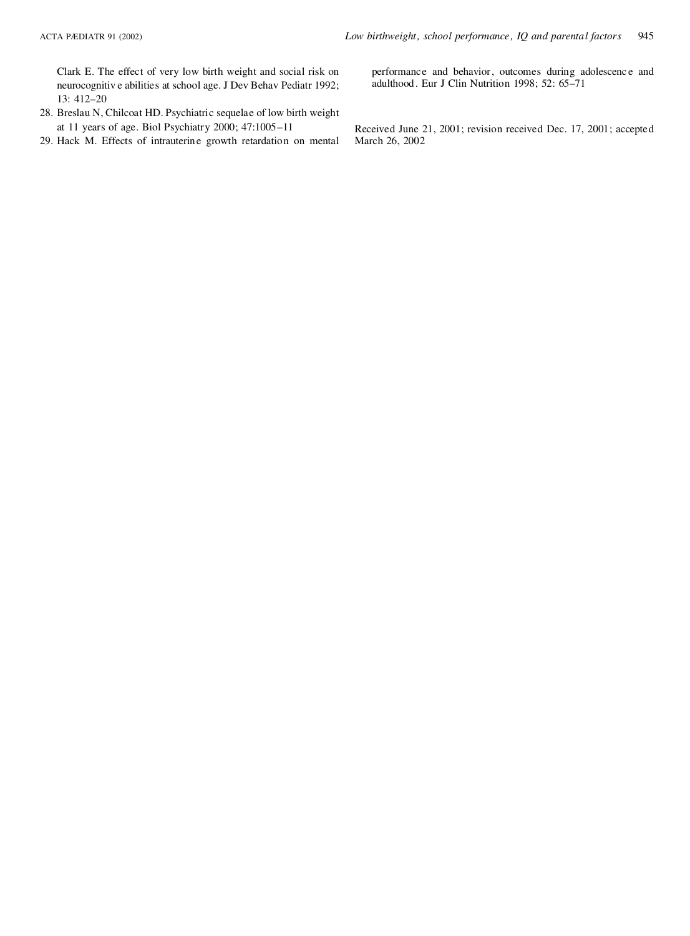Clark E. The effect of very low birth weight and social risk on neurocognitiv e abilities at school age. J Dev Behav Pediatr 1992; 13: 412–20

- 28. Breslau N, Chilcoat HD. Psychiatric sequelae of low birth weight at 11 years of age. Biol Psychiatry 2000; 47:1005–11
- 29. Hack M. Effects of intrauterine growth retardation on mental

performance and behavior, outcomes during adolescence and adulthood. Eur J Clin Nutrition 1998; 52: 65–71

Received June 21, 2001; revision received Dec. 17, 2001; accepted March 26, 2002